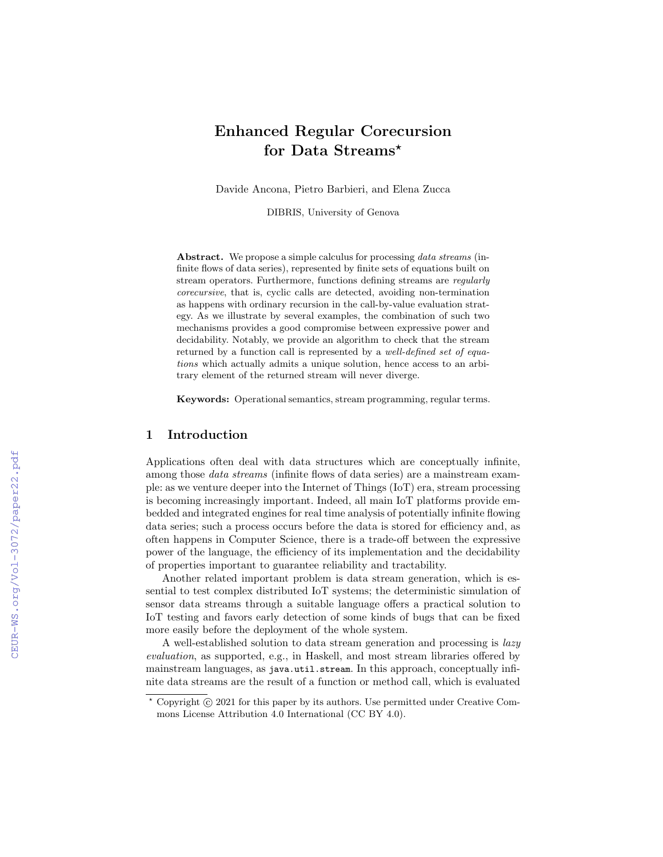# Enhanced Regular Corecursion for Data Streams\*

Davide Ancona, Pietro Barbieri, and Elena Zucca

DIBRIS, University of Genova

Abstract. We propose a simple calculus for processing *data streams* (infinite flows of data series), represented by finite sets of equations built on stream operators. Furthermore, functions defining streams are regularly corecursive, that is, cyclic calls are detected, avoiding non-termination as happens with ordinary recursion in the call-by-value evaluation strategy. As we illustrate by several examples, the combination of such two mechanisms provides a good compromise between expressive power and decidability. Notably, we provide an algorithm to check that the stream returned by a function call is represented by a well-defined set of equations which actually admits a unique solution, hence access to an arbitrary element of the returned stream will never diverge.

Keywords: Operational semantics, stream programming, regular terms.

# 1 Introduction

Applications often deal with data structures which are conceptually infinite, among those data streams (infinite flows of data series) are a mainstream example: as we venture deeper into the Internet of Things (IoT) era, stream processing is becoming increasingly important. Indeed, all main IoT platforms provide embedded and integrated engines for real time analysis of potentially infinite flowing data series; such a process occurs before the data is stored for efficiency and, as often happens in Computer Science, there is a trade-off between the expressive power of the language, the efficiency of its implementation and the decidability of properties important to guarantee reliability and tractability.

Another related important problem is data stream generation, which is essential to test complex distributed IoT systems; the deterministic simulation of sensor data streams through a suitable language offers a practical solution to IoT testing and favors early detection of some kinds of bugs that can be fixed more easily before the deployment of the whole system.

A well-established solution to data stream generation and processing is lazy evaluation, as supported, e.g., in Haskell, and most stream libraries offered by mainstream languages, as java.util.stream. In this approach, conceptually infinite data streams are the result of a function or method call, which is evaluated

 $*$  Copyright  $\circ$  2021 for this paper by its authors. Use permitted under Creative Commons License Attribution 4.0 International (CC BY 4.0).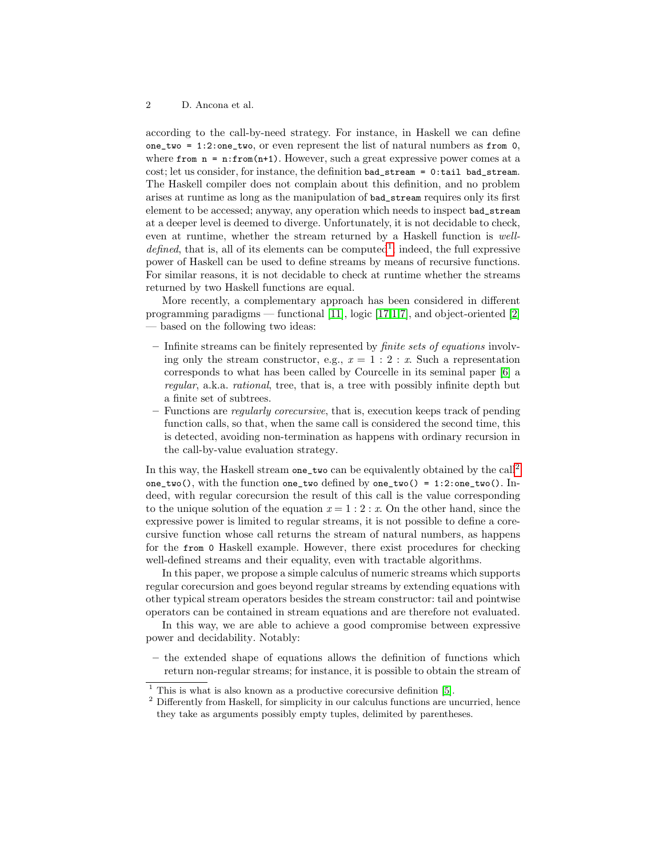according to the call-by-need strategy. For instance, in Haskell we can define one\_two =  $1:2$ :one\_two, or even represent the list of natural numbers as from 0, where from  $n = n$ : from(n+1). However, such a great expressive power comes at a cost; let us consider, for instance, the definition bad\_stream = 0:tail bad\_stream. The Haskell compiler does not complain about this definition, and no problem arises at runtime as long as the manipulation of bad\_stream requires only its first element to be accessed; anyway, any operation which needs to inspect bad\_stream at a deeper level is deemed to diverge. Unfortunately, it is not decidable to check, even at runtime, whether the stream returned by a Haskell function is well $defined$ , that is, all of its elements can be computed<sup>[1](#page-1-0)</sup>; indeed, the full expressive power of Haskell can be used to define streams by means of recursive functions. For similar reasons, it is not decidable to check at runtime whether the streams returned by two Haskell functions are equal.

More recently, a complementary approach has been considered in different programming paradigms — functional [\[11\]](#page-14-0), logic [\[17,](#page-14-1)[1,](#page-13-0)[7\]](#page-14-2), and object-oriented [\[2\]](#page-13-1) — based on the following two ideas:

- Infinite streams can be finitely represented by finite sets of equations involving only the stream constructor, e.g.,  $x = 1 : 2 : x$ . Such a representation corresponds to what has been called by Courcelle in its seminal paper [\[6\]](#page-14-3) a regular, a.k.a. rational, tree, that is, a tree with possibly infinite depth but a finite set of subtrees.
- Functions are regularly corecursive, that is, execution keeps track of pending function calls, so that, when the same call is considered the second time, this is detected, avoiding non-termination as happens with ordinary recursion in the call-by-value evaluation strategy.

In this way, the Haskell stream one\_two can be equivalently obtained by the call[2](#page-1-1) one\_two(), with the function one\_two defined by one\_two() = 1:2:one\_two(). Indeed, with regular corecursion the result of this call is the value corresponding to the unique solution of the equation  $x = 1 : 2 : x$ . On the other hand, since the expressive power is limited to regular streams, it is not possible to define a corecursive function whose call returns the stream of natural numbers, as happens for the from 0 Haskell example. However, there exist procedures for checking well-defined streams and their equality, even with tractable algorithms.

In this paper, we propose a simple calculus of numeric streams which supports regular corecursion and goes beyond regular streams by extending equations with other typical stream operators besides the stream constructor: tail and pointwise operators can be contained in stream equations and are therefore not evaluated.

In this way, we are able to achieve a good compromise between expressive power and decidability. Notably:

– the extended shape of equations allows the definition of functions which return non-regular streams; for instance, it is possible to obtain the stream of

<span id="page-1-0"></span> $1$  This is what is also known as a productive corecursive definition [\[5\]](#page-14-4).

<span id="page-1-1"></span> $2$  Differently from Haskell, for simplicity in our calculus functions are uncurried, hence they take as arguments possibly empty tuples, delimited by parentheses.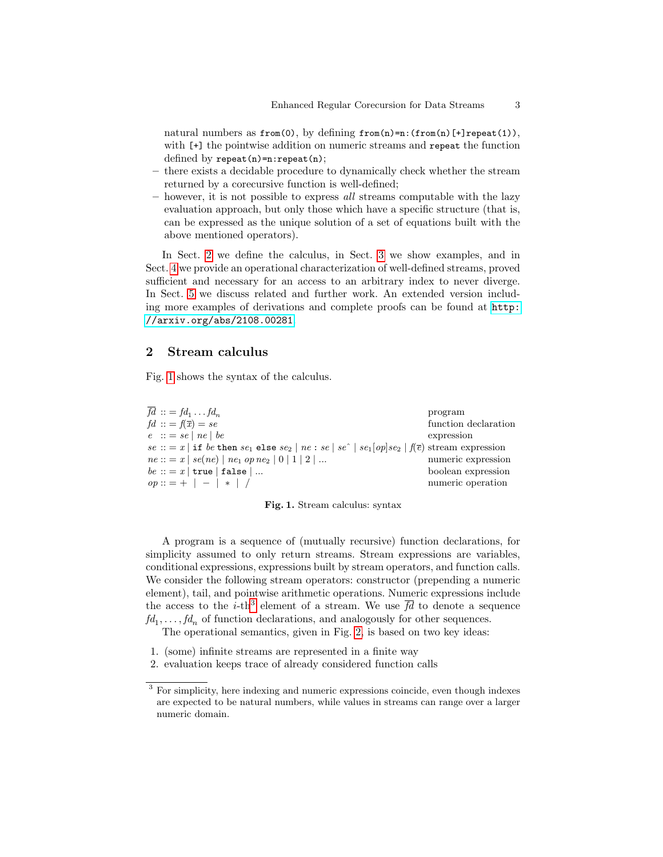natural numbers as  $from(0)$ , by defining  $from(n)=n:(from(n)[+]repeated(1)),$ with  $[+]$  the pointwise addition on numeric streams and repeat the function defined by  $\texttt{repeat}(n) = n:\texttt{repeat}(n);$ 

- there exists a decidable procedure to dynamically check whether the stream returned by a corecursive function is well-defined;
- $-$  however, it is not possible to express all streams computable with the lazy evaluation approach, but only those which have a specific structure (that is, can be expressed as the unique solution of a set of equations built with the above mentioned operators).

In Sect. [2](#page-2-0) we define the calculus, in Sect. [3](#page-6-0) we show examples, and in Sect. [4](#page-8-0) we provide an operational characterization of well-defined streams, proved sufficient and necessary for an access to an arbitrary index to never diverge. In Sect. [5](#page-12-0) we discuss related and further work. An extended version including more examples of derivations and complete proofs can be found at [http:](http://arxiv.org/abs/2108.00281) [//arxiv.org/abs/2108.00281](http://arxiv.org/abs/2108.00281).

## <span id="page-2-0"></span>2 Stream calculus

Fig. [1](#page-2-1) shows the syntax of the calculus.

 $\overline{fd} :: = fd_1 \dots fd_n$ <br>  $fd :: = f(\overline{x}) = se$  $\ldots fd_n$  program function declaration  $e$  :: = se | ne | be expression se :: = x | if be then se<sub>1</sub> else se<sub>2</sub> | ne : se | se<sup> $\circ$ </sup> | se<sub>1</sub> | op|se<sub>2</sub> | f( $\overline{e}$ ) stream expression  $ne ::= x \mid se(ne) \mid ne_1 \text{ op } ne_2 \mid 0 \mid 1 \mid 2 \mid ...$  numeric expression  $be :: = x \mid true \mid false \mid ...$  boolean expression  $op::= + | - | * | /$  numeric operation

<span id="page-2-1"></span>

A program is a sequence of (mutually recursive) function declarations, for simplicity assumed to only return streams. Stream expressions are variables, conditional expressions, expressions built by stream operators, and function calls. We consider the following stream operators: constructor (prepending a numeric element), tail, and pointwise arithmetic operations. Numeric expressions include the access to the *i*-th<sup>[3](#page-2-2)</sup> element of a stream. We use  $\overline{fd}$  to denote a sequence  $fd_1, \ldots, fd_n$  of function declarations, and analogously for other sequences.

The operational semantics, given in Fig. [2,](#page-3-0) is based on two key ideas:

- 1. (some) infinite streams are represented in a finite way
- 2. evaluation keeps trace of already considered function calls

<span id="page-2-2"></span><sup>&</sup>lt;sup>3</sup> For simplicity, here indexing and numeric expressions coincide, even though indexes are expected to be natural numbers, while values in streams can range over a larger numeric domain.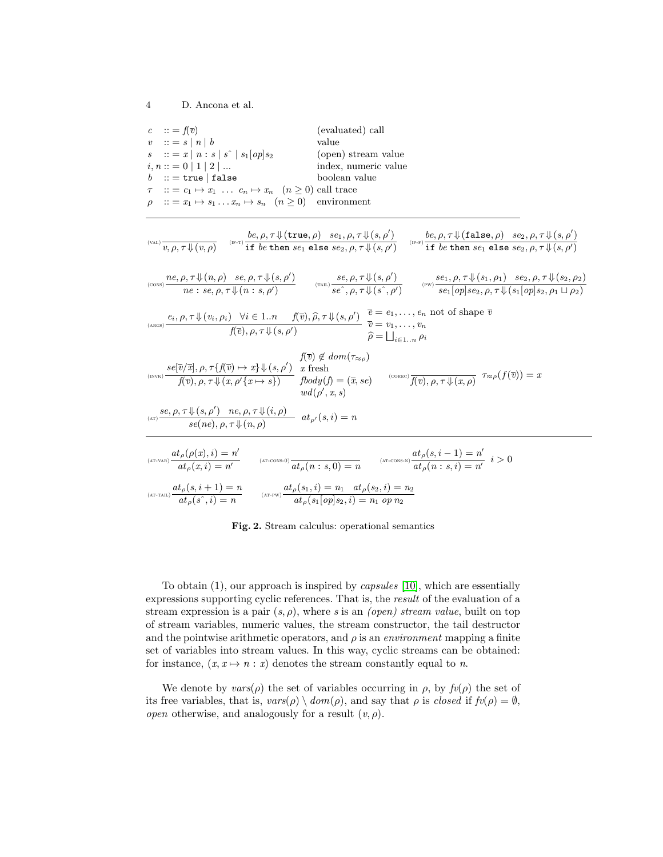| $c$ $\therefore$ = $f(\overline{v})$                                        | (evaluated) call     |
|-----------------------------------------------------------------------------|----------------------|
| $v$ $\therefore$ $\Rightarrow$ $\mid$ $n \mid$ $b$                          | value                |
| $s$ $::= x   n : s   s^{\hat{ }}   s_1[op] s_2$                             | (open) stream value  |
| $i, n ::= 0   1   2   $                                                     | index, numeric value |
| $b$ : = true   false                                                        | boolean value        |
| $\tau$ :: = $c_1 \mapsto x_1$ $c_n \mapsto x_n$ $(n \ge 0)$ call trace      |                      |
| $\rho$ :: = $x_1 \mapsto s_1 \dots x_n \mapsto s_n$ $(n \ge 0)$ environment |                      |

$$
\lim_{(x, t)} \frac{v_{(x, t)}}{v, \rho, \tau \downarrow (v, \rho)} \xrightarrow{(w, \tau)} \frac{b e, \rho, \tau \downarrow (true, \rho) \text{ se}_{1}, \rho, \tau \downarrow (s, \rho')}{\text{if } b e \text{ then } se_{1} \text{ else } se_{2}, \rho, \tau \downarrow (s, \rho')}
$$
\n
$$
\lim_{(x, t)} \frac{v_{(x, t)}(x, \rho) \text{ se}_{1}(\rho, \tau \downarrow (s, \rho'))}{\text{if } b e \text{ then } se_{1} \text{ else } se_{2}, \rho, \tau \downarrow (s, \rho')}
$$
\n
$$
\lim_{(x, t)} \frac{se, \rho, \tau \downarrow (s, \rho')}{se', \rho, \tau \downarrow (s, \rho')} \xrightarrow{(x, t)} \frac{se, \rho, \tau \downarrow (s, \rho')}{se', \rho, \tau \downarrow (s', \rho')} \xrightarrow{(x, t)} \frac{se, \rho, \tau \downarrow (s, \rho, \rho')}{se_{1}[\rho p]se_{2}, \rho, \tau \downarrow (s_{1}(\rho p) \cdot s_{2}, \rho, \tau \downarrow (s_{2}, \rho_{2})]}
$$
\n
$$
\lim_{(x, t) \to (t)} \frac{se, \rho, \tau \downarrow (v_{i}, \rho_{i}) \quad \forall i \in 1..n \quad f(\overline{v}), \widehat{\rho}, \tau \downarrow (s, \rho')}{\widehat{f(\overline{v})}, \rho, \tau \downarrow (s, \rho')} \xrightarrow{\overline{v}} \overline{e} = e_{1}, \dots, e_{n} \text{ not of shape } \overline{v}
$$
\n
$$
\lim_{(x, t) \to (t)} \frac{se(\overline{v}/\overline{x}), \rho, \tau \downarrow (s, \rho') \quad \text{if } \overline{v} \in \mathcal{L}_{1...}, \rho_{i}}{\widehat{f(\overline{v})}, \rho, \tau \downarrow (s, \rho') \quad \text{if } \overline{v} \in \mathcal{L}_{1...}, \rho_{i}} \xrightarrow{\overline{v}} \overline{e} = e_{1}, \dots, e_{n} \text{ not of shape } \overline{v}
$$
\n
$$
\lim_{(x, t) \to (t)} \frac{se(\overline{v}/\overline{x}), \
$$

<span id="page-3-0"></span>Fig. 2. Stream calculus: operational semantics

To obtain (1), our approach is inspired by capsules [\[10\]](#page-14-5), which are essentially expressions supporting cyclic references. That is, the result of the evaluation of a stream expression is a pair  $(s, \rho)$ , where s is an *(open)* stream value, built on top of stream variables, numeric values, the stream constructor, the tail destructor and the pointwise arithmetic operators, and  $\rho$  is an *environment* mapping a finite set of variables into stream values. In this way, cyclic streams can be obtained: for instance,  $(x, x \mapsto n : x)$  denotes the stream constantly equal to n.

We denote by  $vars(\rho)$  the set of variables occurring in  $\rho$ , by  $fv(\rho)$  the set of its free variables, that is,  $vars(\rho) \setminus dom(\rho)$ , and say that  $\rho$  is *closed* if  $fv(\rho) = \emptyset$ , *open* otherwise, and analogously for a result  $(v, \rho)$ .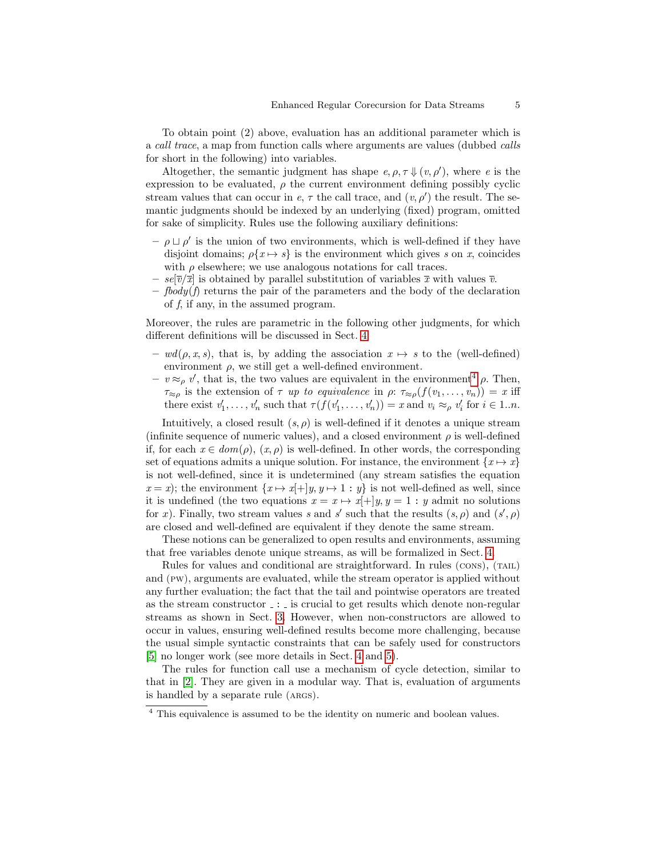To obtain point (2) above, evaluation has an additional parameter which is a call trace, a map from function calls where arguments are values (dubbed calls for short in the following) into variables.

Altogether, the semantic judgment has shape  $e, \rho, \tau \Downarrow (v, \rho')$ , where e is the expression to be evaluated,  $\rho$  the current environment defining possibly cyclic stream values that can occur in  $e, \tau$  the call trace, and  $(v, \rho')$  the result. The semantic judgments should be indexed by an underlying (fixed) program, omitted for sake of simplicity. Rules use the following auxiliary definitions:

- $-\rho \sqcup \rho'$  is the union of two environments, which is well-defined if they have disjoint domains;  $\rho\{x \mapsto s\}$  is the environment which gives s on x, coincides with  $\rho$  elsewhere; we use analogous notations for call traces.
- $se[\overline{v}/\overline{x}]$  is obtained by parallel substitution of variables  $\overline{x}$  with values  $\overline{v}$ .
- $-$  fbody(f) returns the pair of the parameters and the body of the declaration of  $f$ , if any, in the assumed program.

Moreover, the rules are parametric in the following other judgments, for which different definitions will be discussed in Sect. [4:](#page-8-0)

- $-wd(\rho, x, s)$ , that is, by adding the association  $x \mapsto s$  to the (well-defined) environment  $\rho$ , we still get a well-defined environment.
- $-v \approx_{\rho} v'$ , that is, the two values are equivalent in the environment<sup>[4](#page-4-0)</sup>  $\rho$ . Then,  $\tau_{\approx \rho}$  is the extension of  $\tau$  up to equivalence in  $\rho: \tau_{\approx \rho}(f(v_1, \ldots, v_n)) = x$  iff there exist  $v'_1, \ldots, v'_n$  such that  $\tau(f(v'_1, \ldots, v'_n)) = x$  and  $v_i \approx_\rho v'_i$  for  $i \in 1..n$ .

Intuitively, a closed result  $(s, \rho)$  is well-defined if it denotes a unique stream (infinite sequence of numeric values), and a closed environment  $\rho$  is well-defined if, for each  $x \in dom(\rho)$ ,  $(x, \rho)$  is well-defined. In other words, the corresponding set of equations admits a unique solution. For instance, the environment  $\{x \mapsto x\}$ is not well-defined, since it is undetermined (any stream satisfies the equation  $x = x$ ; the environment  $\{x \mapsto x[+]y, y \mapsto 1 : y\}$  is not well-defined as well, since it is undefined (the two equations  $x = x \mapsto x[+]y, y = 1 : y$  admit no solutions for x). Finally, two stream values s and s' such that the results  $(s, \rho)$  and  $(s', \rho)$ are closed and well-defined are equivalent if they denote the same stream.

These notions can be generalized to open results and environments, assuming that free variables denote unique streams, as will be formalized in Sect. [4.](#page-8-0)

Rules for values and conditional are straightforward. In rules (CONS), (TAIL) and (pw), arguments are evaluated, while the stream operator is applied without any further evaluation; the fact that the tail and pointwise operators are treated as the stream constructor  $\overline{\ }$ :  $\overline{\ }$  is crucial to get results which denote non-regular streams as shown in Sect. [3.](#page-6-0) However, when non-constructors are allowed to occur in values, ensuring well-defined results become more challenging, because the usual simple syntactic constraints that can be safely used for constructors [\[5\]](#page-14-4) no longer work (see more details in Sect. [4](#page-8-0) and [5\)](#page-12-0).

The rules for function call use a mechanism of cycle detection, similar to that in [\[2\]](#page-13-1). They are given in a modular way. That is, evaluation of arguments is handled by a separate rule (args).

<span id="page-4-0"></span><sup>&</sup>lt;sup>4</sup> This equivalence is assumed to be the identity on numeric and boolean values.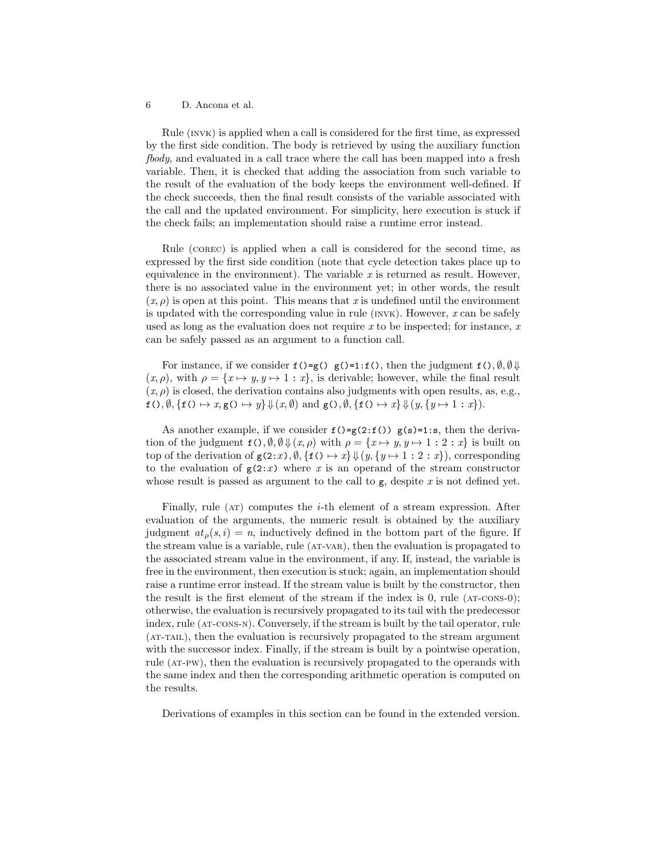Rule (INVK) is applied when a call is considered for the first time, as expressed by the first side condition. The body is retrieved by using the auxiliary function fbody, and evaluated in a call trace where the call has been mapped into a fresh variable. Then, it is checked that adding the association from such variable to the result of the evaluation of the body keeps the environment well-defined. If the check succeeds, then the final result consists of the variable associated with the call and the updated environment. For simplicity, here execution is stuck if the check fails; an implementation should raise a runtime error instead.

Rule (corec) is applied when a call is considered for the second time, as expressed by the first side condition (note that cycle detection takes place up to equivalence in the environment). The variable  $x$  is returned as result. However, there is no associated value in the environment yet; in other words, the result  $(x, \rho)$  is open at this point. This means that x is undefined until the environment is updated with the corresponding value in rule  $(n\nu\kappa)$ . However, x can be safely used as long as the evaluation does not require  $x$  to be inspected; for instance,  $x$ can be safely passed as an argument to a function call.

For instance, if we consider  $f() = g() g() = 1 : f()$ , then the judgment  $f()$ ,  $\emptyset, \emptyset \Downarrow$  $(x, \rho)$ , with  $\rho = \{x \mapsto y, y \mapsto 1 : x\}$ , is derivable; however, while the final result  $(x, \rho)$  is closed, the derivation contains also judgments with open results, as, e.g.,  $f(), \emptyset, \{f() \mapsto x, g() \mapsto y\} \Downarrow (x, \emptyset) \text{ and } g(), \emptyset, \{f() \mapsto x\} \Downarrow (y, \{y \mapsto 1 : x\}).$ 

As another example, if we consider  $f() = g(2:f())$  g(s)=1:s, then the derivation of the judgment  $f(.)$ ,  $\emptyset$ ,  $\emptyset \downarrow (x, \rho)$  with  $\rho = \{x \mapsto y, y \mapsto 1 : 2 : x\}$  is built on top of the derivation of  $g(2:x), \emptyset, \{f\}\mapsto x\} \Downarrow (y, \{y \mapsto 1 : 2 : x\})$ , corresponding to the evaluation of  $g(2:x)$  where x is an operand of the stream constructor whose result is passed as argument to the call to  $g$ , despite  $x$  is not defined yet.

Finally, rule  $(AT)$  computes the *i*-th element of a stream expression. After evaluation of the arguments, the numeric result is obtained by the auxiliary judgment  $at_{\rho}(s, i) = n$ , inductively defined in the bottom part of the figure. If the stream value is a variable, rule (AT-VAR), then the evaluation is propagated to the associated stream value in the environment, if any. If, instead, the variable is free in the environment, then execution is stuck; again, an implementation should raise a runtime error instead. If the stream value is built by the constructor, then the result is the first element of the stream if the index is  $0$ , rule ( $AT\text{-}cons-0$ ); otherwise, the evaluation is recursively propagated to its tail with the predecessor index, rule (at-cons-n). Conversely, if the stream is built by the tail operator, rule (AT-TAIL), then the evaluation is recursively propagated to the stream argument with the successor index. Finally, if the stream is built by a pointwise operation, rule (at-pw), then the evaluation is recursively propagated to the operands with the same index and then the corresponding arithmetic operation is computed on the results.

Derivations of examples in this section can be found in the extended version.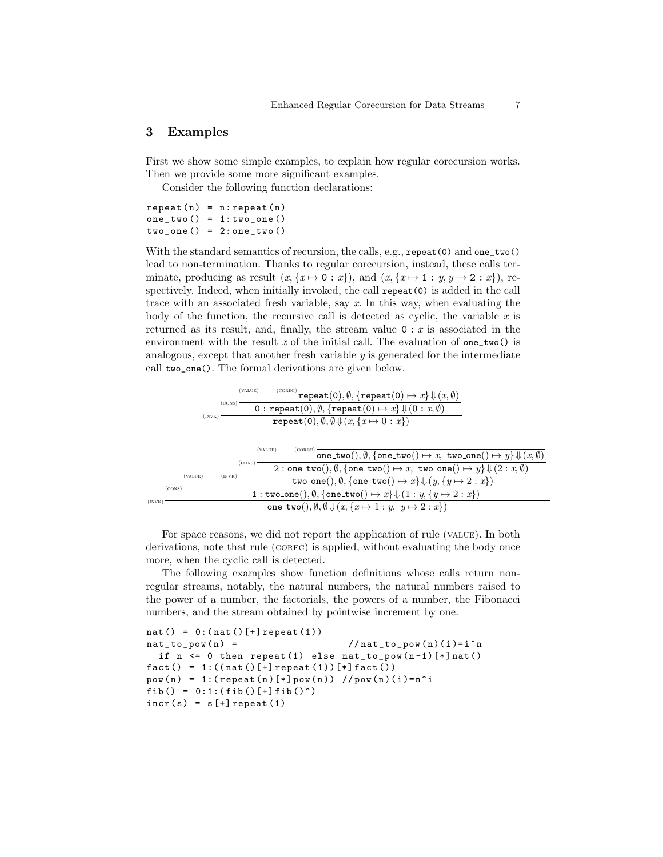### <span id="page-6-0"></span>3 Examples

First we show some simple examples, to explain how regular corecursion works. Then we provide some more significant examples.

Consider the following function declarations:

 $repeated(n) = n:repeat(n)$  $one_{two}() = 1: two_{one}()$  $two\_\texttt{one}() = 2:one\_\texttt{two}()$ 

With the standard semantics of recursion, the calls, e.g., repeat(0) and one\_two() lead to non-termination. Thanks to regular corecursion, instead, these calls terminate, producing as result  $(x, \{x \mapsto 0 : x\})$ , and  $(x, \{x \mapsto 1 : y, y \mapsto 2 : x\})$ , respectively. Indeed, when initially invoked, the call repeat(0) is added in the call trace with an associated fresh variable, say  $x$ . In this way, when evaluating the body of the function, the recursive call is detected as cyclic, the variable  $x$  is returned as its result, and, finally, the stream value  $0 : x$  is associated in the environment with the result x of the initial call. The evaluation of one\_two() is analogous, except that another fresh variable y is generated for the intermediate call two\_one(). The formal derivations are given below.

|        |        | (VALUE)<br>COREC <sup>1</sup><br>repeat(0), $\emptyset$ , {repeat(0) $\mapsto x$ } $\Downarrow$ $(x, \emptyset)$<br>(cons)  |
|--------|--------|-----------------------------------------------------------------------------------------------------------------------------|
|        |        | 0: repeat(0), $\emptyset$ , {repeat(0) $\mapsto x$ } $\Downarrow$ (0: $x$ , $\emptyset$ )                                   |
|        |        | (INVK)<br>$repeat(0), \emptyset, \emptyset \downarrow (x, \{x \mapsto 0 : x\})$                                             |
|        |        |                                                                                                                             |
|        |        | (VALUE)<br>(COREC)<br>one_two(), $\emptyset$ , {one_two() $\mapsto x$ , two_one() $\mapsto y$ } $\Downarrow (x, \emptyset)$ |
|        |        | (cons)<br>2: one_two(), $\emptyset$ , {one_two() $\mapsto x$ , two_one() $\mapsto y$ } $\Downarrow$ $(2: x, \emptyset)$     |
|        |        | (VALUE)<br>$($ INV $\rm K$ $)$<br>two_one(), $\emptyset$ , {one_two() $\mapsto x$ } $\Downarrow$ (y, {y $\mapsto$ 2 : x})   |
|        | (CONS) | 1 : two_one(), $\emptyset$ , {one_two() $\mapsto x$ } $\Downarrow$ (1 : y, {y $\mapsto$ 2 : x})                             |
| (INVK) |        | one_two(), $\emptyset$ , $\emptyset \Downarrow (x, \{x \mapsto 1 : y, y \mapsto 2 : x\})$                                   |

For space reasons, we did not report the application of rule (value). In both derivations, note that rule (corec) is applied, without evaluating the body once more, when the cyclic call is detected.

The following examples show function definitions whose calls return nonregular streams, notably, the natural numbers, the natural numbers raised to the power of a number, the factorials, the powers of a number, the Fibonacci numbers, and the stream obtained by pointwise increment by one.

```
nat() = 0:(nat()[-] repeat(1))nat_to\_pow(n) = //nat_to_pow(n)(i)=i^n
if n \leq 0 then repeat (1) else nat_to\_pow(n-1)[*]nat()fact() = 1:((nat() [+] repeat (1)) [*) fact())pow(n) = 1: (repeat(n)[*]pow(n)) //pow(n)(i) = n^ifib() = 0:1: (fib() [+] fib()^*)incr(s) = s[+] repeat (1)
```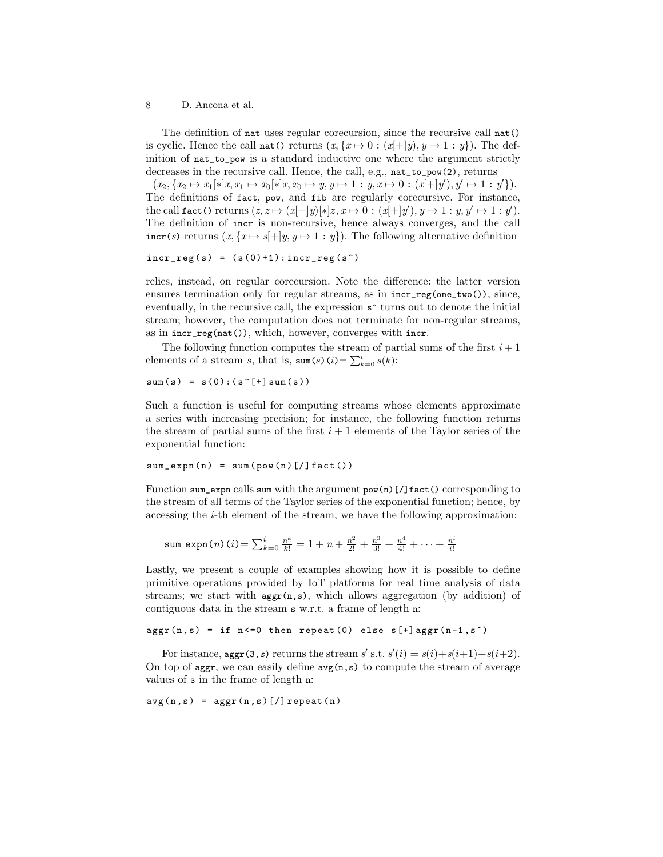The definition of nat uses regular corecursion, since the recursive call nat() is cyclic. Hence the call nat() returns  $(x, \{x \mapsto 0 : (x[+\mid y), y \mapsto 1 : y\})$ . The definition of nat\_to\_pow is a standard inductive one where the argument strictly decreases in the recursive call. Hence, the call, e.g., nat\_to\_pow(2), returns

 $(x_2, \{x_2 \mapsto x_1[\ast]x, x_1 \mapsto x_0[\ast]x, x_0 \mapsto y, y \mapsto 1 : y, x \mapsto 0 : (x[+\tfrac{1}{y}), y' \mapsto 1 : y'\}).$ The definitions of fact, pow, and fib are regularly corecursive. For instance, the call fact() returns  $(z, z \mapsto (x[+]y)[*]z, x \mapsto 0 : (x[+]y), y \mapsto 1 : y, y' \mapsto 1 : y'.$ The definition of incr is non-recursive, hence always converges, and the call  $\text{incr}(s)$  returns  $(x, \{x \mapsto s\} | y, y \mapsto 1 : y\})$ . The following alternative definition

 $incr\_reg(s) = (s(0)+1):incr\_reg(s^*)$ 

relies, instead, on regular corecursion. Note the difference: the latter version ensures termination only for regular streams, as in  $\text{incr\_reg(one\_two)}$ , since, eventually, in the recursive call, the expression  $s^*$  turns out to denote the initial stream; however, the computation does not terminate for non-regular streams, as in incr\_reg(nat()), which, however, converges with incr.

The following function computes the stream of partial sums of the first  $i+1$ elements of a stream s, that is,  $\text{sum}(s)(i) = \sum_{k=0}^{i} s(k)$ :

 $sum(s) = s(0) : (s^{[+]}sum(s))$ 

Such a function is useful for computing streams whose elements approximate a series with increasing precision; for instance, the following function returns the stream of partial sums of the first  $i + 1$  elements of the Taylor series of the exponential function:

```
sum\_expn(n) = sum(pow(n)[]/]fact()
```
Function sum\_expn calls sum with the argument  $pow(n)[1]$  fact() corresponding to the stream of all terms of the Taylor series of the exponential function; hence, by accessing the i-th element of the stream, we have the following approximation:

sum-expn(n) (i) = 
$$
\sum_{k=0}^{i} \frac{n^k}{k!}
$$
 = 1 + n +  $\frac{n^2}{2!}$  +  $\frac{n^3}{3!}$  +  $\frac{n^4}{4!}$  +  $\cdots$  +  $\frac{n^i}{i!}$ 

Lastly, we present a couple of examples showing how it is possible to define primitive operations provided by IoT platforms for real time analysis of data streams; we start with  $\text{aggr}(n,s)$ , which allows aggregation (by addition) of contiguous data in the stream s w.r.t. a frame of length n:

```
aggr(n, s) = if n<=0 then repeat(0) else s[+]aggr(n-1, s^+)
```
For instance,  $\text{aggr}(3, s)$  returns the stream s' s.t.  $s'(i) = s(i) + s(i+1) + s(i+2)$ . On top of aggr, we can easily define  $\arg(n, s)$  to compute the stream of average values of s in the frame of length n:

 $avg(n, s) = aggr(n, s)$ [/] repeat(n)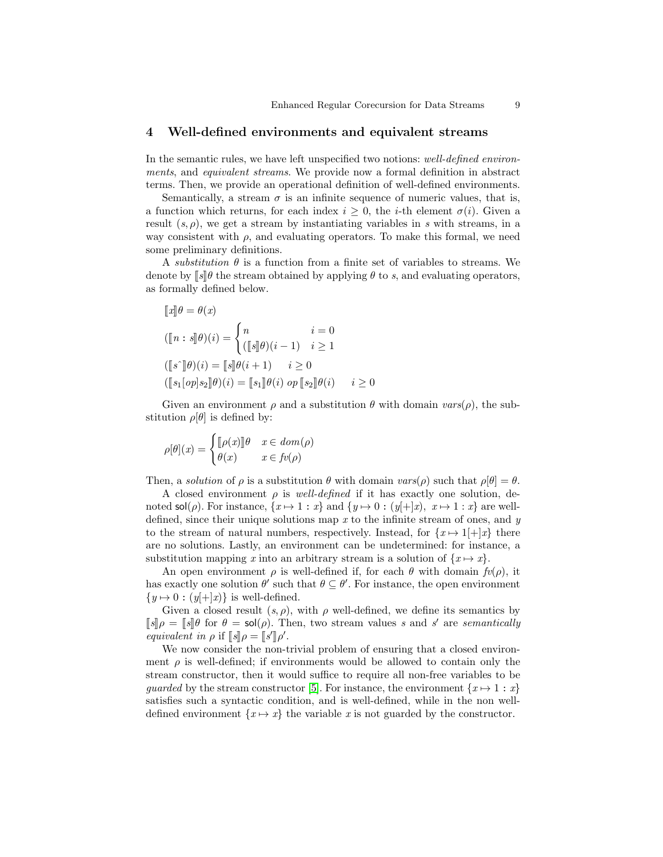## <span id="page-8-0"></span>4 Well-defined environments and equivalent streams

In the semantic rules, we have left unspecified two notions: well-defined environments, and equivalent streams. We provide now a formal definition in abstract terms. Then, we provide an operational definition of well-defined environments.

Semantically, a stream  $\sigma$  is an infinite sequence of numeric values, that is, a function which returns, for each index  $i > 0$ , the *i*-th element  $\sigma(i)$ . Given a result  $(s, \rho)$ , we get a stream by instantiating variables in s with streams, in a way consistent with  $\rho$ , and evaluating operators. To make this formal, we need some preliminary definitions.

A *substitution*  $\theta$  is a function from a finite set of variables to streams. We denote by  $\llbracket s \rrbracket \theta$  the stream obtained by applying  $\theta$  to s, and evaluating operators, as formally defined below.

$$
\llbracket x \rrbracket \theta = \theta(x)
$$
  

$$
(\llbracket n : s \rrbracket \theta)(i) = \begin{cases} n & i = 0 \\ (\llbracket s \rrbracket \theta)(i-1) & i \ge 1 \end{cases}
$$
  

$$
(\llbracket s \rrbracket \theta)(i) = \llbracket s \rrbracket \theta(i+1) & i \ge 0
$$
  

$$
(\llbracket s_1[op]s_2 \rrbracket \theta)(i) = \llbracket s_1 \rrbracket \theta(i) op \llbracket s_2 \rrbracket \theta(i) & i \ge 0
$$

Given an environment  $\rho$  and a substitution  $\theta$  with domain  $vars(\rho)$ , the substitution  $\rho[\theta]$  is defined by:

$$
\rho[\theta](x) = \begin{cases} [\![\rho(x)]\!] \theta & x \in dom(\rho) \\ \theta(x) & x \in fv(\rho) \end{cases}
$$

Then, a solution of  $\rho$  is a substitution  $\theta$  with domain  $vars(\rho)$  such that  $\rho[\theta] = \theta$ .

A closed environment  $\rho$  is well-defined if it has exactly one solution, denoted sol( $\rho$ ). For instance,  $\{x \mapsto 1 : x\}$  and  $\{y \mapsto 0 : (y[+]x), x \mapsto 1 : x\}$  are welldefined, since their unique solutions map x to the infinite stream of ones, and  $y$ to the stream of natural numbers, respectively. Instead, for  $\{x \mapsto 1\} + |x\}$  there are no solutions. Lastly, an environment can be undetermined: for instance, a substitution mapping x into an arbitrary stream is a solution of  $\{x \mapsto x\}$ .

An open environment  $\rho$  is well-defined if, for each  $\theta$  with domain  $f_v(\rho)$ , it has exactly one solution  $\theta'$  such that  $\theta \subseteq \theta'$ . For instance, the open environment  $\{y \mapsto 0 : (y[+]x)\}\$ is well-defined.

Given a closed result  $(s, \rho)$ , with  $\rho$  well-defined, we define its semantics by  $\llbracket s \rrbracket \rho = \llbracket s \rrbracket \theta$  for  $\theta = \mathsf{sol}(\rho)$ . Then, two stream values s and s' are semantically equivalent in  $\rho$  if  $\llbracket s \rrbracket \rho = \llbracket s' \rrbracket \rho'.$ <br>We now consider the non-

We now consider the non-trivial problem of ensuring that a closed environment  $\rho$  is well-defined; if environments would be allowed to contain only the stream constructor, then it would suffice to require all non-free variables to be quarded by the stream constructor [\[5\]](#page-14-4). For instance, the environment  $\{x \mapsto 1 : x\}$ satisfies such a syntactic condition, and is well-defined, while in the non welldefined environment  $\{x \mapsto x\}$  the variable x is not guarded by the constructor.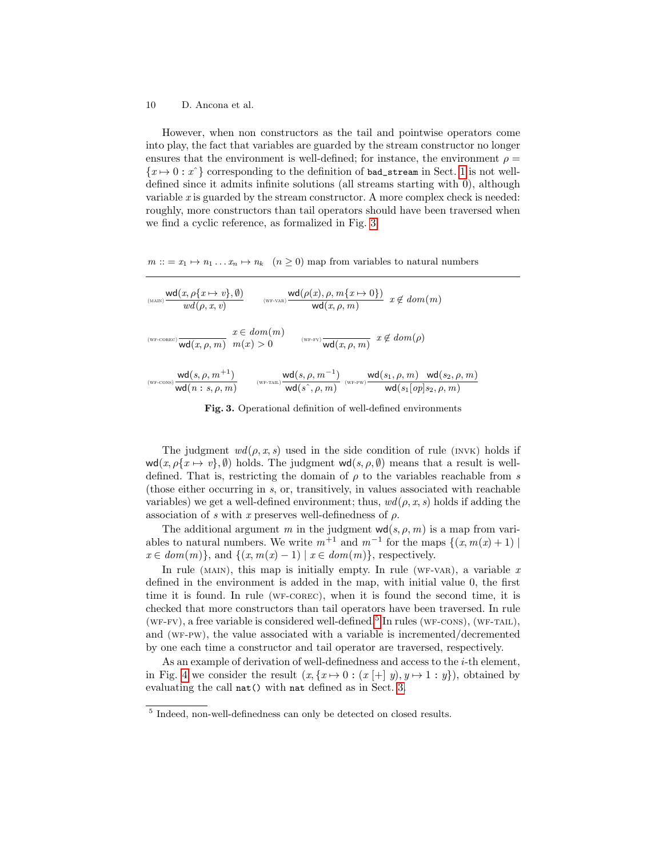However, when non constructors as the tail and pointwise operators come into play, the fact that variables are guarded by the stream constructor no longer ensures that the environment is well-defined; for instance, the environment  $\rho =$  ${x \mapsto 0 : x^{\hat{}}\}$  corresponding to the definition of bad\_stream in Sect. [1](#page--1-0) is not welldefined since it admits infinite solutions (all streams starting with 0), although variable  $x$  is guarded by the stream constructor. A more complex check is needed: roughly, more constructors than tail operators should have been traversed when we find a cyclic reference, as formalized in Fig. [3.](#page-9-0)

 $m ::= x_1 \mapsto n_1 \dots x_n \mapsto n_k \quad (n \ge 0)$  map from variables to natural numbers

$$
\begin{array}{lll} \displaystyle \int_{\text{MAND}}\text{wd}(x,\rho\{x\mapsto v\},\emptyset) & \text{wd}(\rho(x),\rho,m\{x\mapsto 0\})\\ \displaystyle \int_{\text{WFCOREC}}\text{wd}(\rho,x,v) & \text{wd}(\rho(x),\rho,m\{x\mapsto 0\}) & x\notin dom(m)\\ \\ \displaystyle \int_{\text{WFCOREC}}\text{wd}(x,\rho,m) & x\in dom(m) & \text{wc-rv}\sqrt{\text{wd}(x,\rho,m)} & x\notin dom(\rho)\\ \\ \displaystyle \int_{\text{WFCONNS}}\text{wd}(s,\rho,m^{+1}) & \text{wd}(s,\rho,m^{-1}) & \text{wd}(s^2,\rho,m) & \text{wd}(s_1,\rho,m) & \text{wd}(s_2,\rho,m)\\ \\ \displaystyle \int_{\text{WFCONNS}}\text{wd}(n:s,\rho,m) & \text{wd}(s^2,\rho,m) & \text{wd}(s^2,\rho,m) & \text{wd}(s_1\lceil op\rfloor s_2,\rho,m) \end{array}
$$

<span id="page-9-0"></span>Fig. 3. Operational definition of well-defined environments

The judgment  $wd(\rho, x, s)$  used in the side condition of rule (inv $\kappa$ ) holds if  $\text{wd}(x, \rho\{x \mapsto v\}, \emptyset)$  holds. The judgment  $\text{wd}(s, \rho, \emptyset)$  means that a result is welldefined. That is, restricting the domain of  $\rho$  to the variables reachable from s (those either occurring in s, or, transitively, in values associated with reachable variables) we get a well-defined environment; thus,  $wd(\rho, x, s)$  holds if adding the association of s with x preserves well-definedness of  $\rho$ .

The additional argument m in the judgment  $\mathsf{wd}(s, \rho, m)$  is a map from variables to natural numbers. We write  $m^{+1}$  and  $m^{-1}$  for the maps  $\{(x, m(x) + 1) \mid$  $x \in dom(m)$ , and  $\{(x, m(x) - 1) | x \in dom(m)\}$ , respectively.

In rule (MAIN), this map is initially empty. In rule (WF-VAR), a variable  $x$ defined in the environment is added in the map, with initial value 0, the first time it is found. In rule (WF-COREC), when it is found the second time, it is checked that more constructors than tail operators have been traversed. In rule  $(wF-FV)$ , a free variable is considered well-defined.<sup>[5](#page-9-1)</sup> In rules ( $wF-CONS$ ), ( $wF-TAIL$ ), and (wf-pw), the value associated with a variable is incremented/decremented by one each time a constructor and tail operator are traversed, respectively.

As an example of derivation of well-definedness and access to the i-th element, in Fig. [4](#page-10-0) we consider the result  $(x, \{x \mapsto 0 : (x \mid \pm \mid y), y \mapsto 1 : y\})$ , obtained by evaluating the call nat() with nat defined as in Sect. [3.](#page-6-0)

<span id="page-9-1"></span><sup>5</sup> Indeed, non-well-definedness can only be detected on closed results.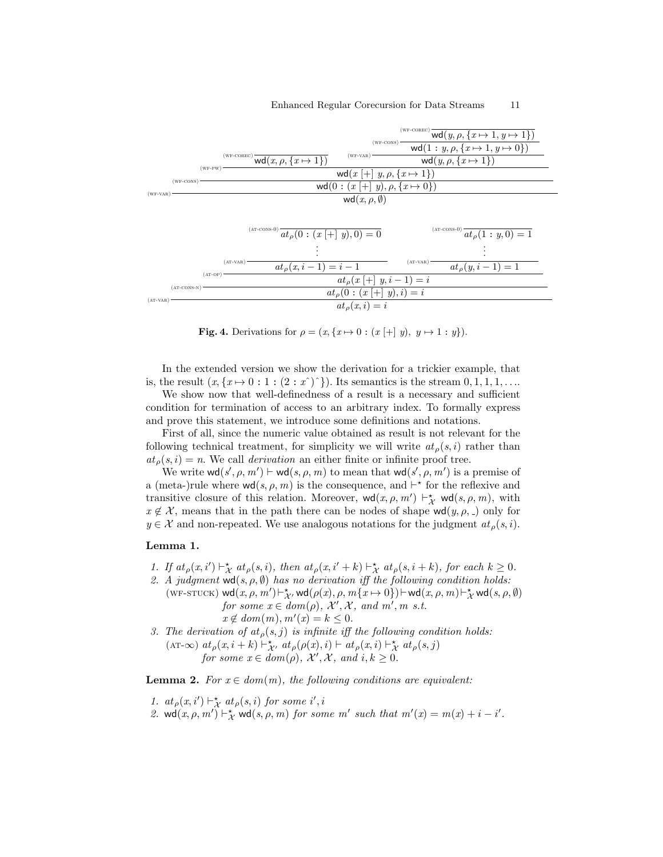#### Enhanced Regular Corecursion for Data Streams 11



<span id="page-10-0"></span>**Fig. 4.** Derivations for  $\rho = (x, \{x \mapsto 0 : (x \mid \pm \mid y), y \mapsto 1 : y\}).$ 

In the extended version we show the derivation for a trickier example, that is, the result  $(x, \{x \mapsto 0 : 1 : (2 : x^*)^*\}\)$ . Its semantics is the stream  $0, 1, 1, 1, \ldots$ 

We show now that well-definedness of a result is a necessary and sufficient condition for termination of access to an arbitrary index. To formally express and prove this statement, we introduce some definitions and notations.

First of all, since the numeric value obtained as result is not relevant for the following technical treatment, for simplicity we will write  $at_{\rho}(s, i)$  rather than  $at<sub>o</sub>(s, i) = n$ . We call *derivation* an either finite or infinite proof tree.

We write  $\text{wd}(s', \rho, m') \vdash \text{wd}(s, \rho, m)$  to mean that  $\text{wd}(s', \rho, m')$  is a premise of a (meta-)rule where  $\mathsf{wd}(s, \rho, m)$  is the consequence, and  $\vdash^*$  for the reflexive and transitive closure of this relation. Moreover,  $\mathsf{wd}(x, \rho, m') \vdash_{\mathcal{X}}^{\star} \mathsf{wd}(s, \rho, m)$ , with  $x \notin \mathcal{X}$ , means that in the path there can be nodes of shape wd $(y, \rho, \rho)$  only for  $y \in \mathcal{X}$  and non-repeated. We use analogous notations for the judgment  $at_{\rho}(s, i)$ .

#### <span id="page-10-2"></span>Lemma 1.

- <span id="page-10-5"></span>1. If  $at_{\rho}(x, i') \vdash_{\mathcal{X}}^{\star} at_{\rho}(s, i)$ , then  $at_{\rho}(x, i' + k) \vdash_{\mathcal{X}}^{\star} at_{\rho}(s, i + k)$ , for each  $k \geq 0$ .
- <span id="page-10-4"></span>2. A judgment  $\text{wd}(s, \rho, \emptyset)$  has no derivation iff the following condition holds:  $(\text{WF-STUCH}) \; \textsf{wd}(x,\rho,m') \, \vdash^\star_{\mathcal{X}'} \, \textsf{wd}(\rho(x),\rho,m\{x \mapsto 0\}) \, \vdash \textsf{wd}(x,\rho,m) \, \vdash^\star_{\mathcal{X}} \, \textsf{wd}(s,\rho,\emptyset)$ for some  $x \in dom(\rho)$ ,  $\mathcal{X}', \mathcal{X}$ , and  $m'$ , m s.t.
	- $x \notin dom(m), m'(x) = k \leq 0.$
- <span id="page-10-3"></span>3. The derivation of  $at_{\rho}(s, j)$  is infinite iff the following condition holds: (AT- $\infty$ )  $at_{\rho}(x, i + k) \vdash_{\mathcal{X}'}^{\star} at_{\rho}(\rho(x), i) \vdash at_{\rho}(x, i) \vdash_{\mathcal{X}}^{\star} at_{\rho}(s, j)$ for some  $x \in dom(\rho)$ ,  $\mathcal{X}', \mathcal{X}$ , and  $i, k \geq 0$ .

<span id="page-10-1"></span>**Lemma 2.** For  $x \in dom(m)$ , the following conditions are equivalent:

- 1.  $at_{\rho}(x, i') \vdash^{\star}_{\mathcal{X}} at_{\rho}(s, i)$  for some i', i
- 2. wd $(x, \rho, m') \vdash_{\mathcal{X}}^{\star}$  wd $(s, \rho, m)$  for some  $m'$  such that  $m'(x) = m(x) + i i'$ .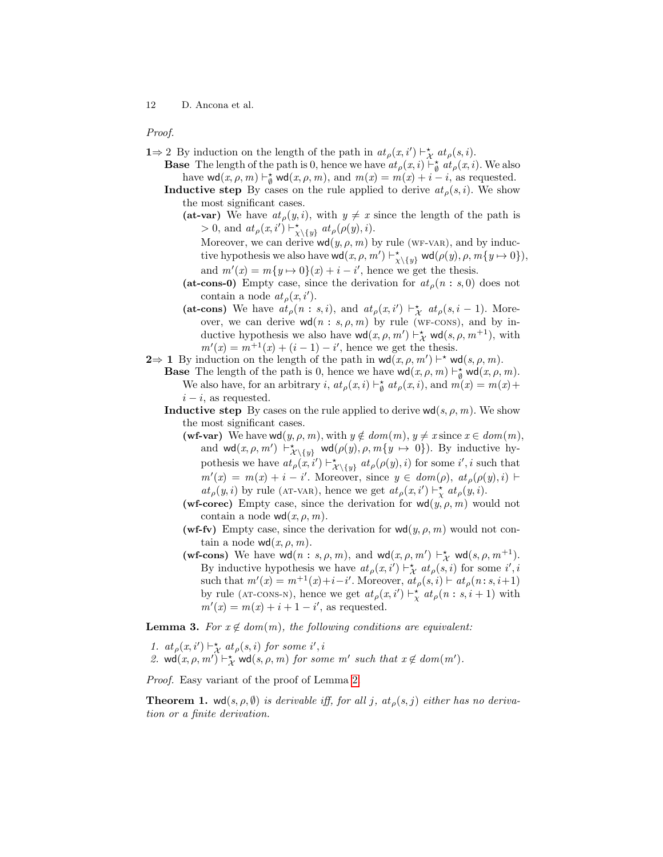#### Proof.

- **1**⇒ 2 By induction on the length of the path in  $at_{\rho}(x, i') \vdash_{\chi}^* at_{\rho}(s, i)$ .
	- **Base** The length of the path is 0, hence we have  $at_{\rho}(x, i) \vdash_{\emptyset}^* at_{\rho}(x, i)$ . We also have  $\text{wd}(x, \rho, m) \vdash_{\emptyset}^* \text{wd}(x, \rho, m)$ , and  $m(x) = m(x) + i - i$ , as requested.
	- **Inductive step** By cases on the rule applied to derive  $at_{\rho}(s, i)$ . We show the most significant cases.
		- (at-var) We have  $at_{\rho}(y, i)$ , with  $y \neq x$  since the length of the path is  $> 0$ , and  $at_{\rho}(x, i') \vdash^{\star}_{\chi \setminus \{y\}} at_{\rho}(\rho(y), i)$ .
			- Moreover, we can derive  $\text{wd}(y, \rho, m)$  by rule (WF-VAR), and by inductive hypothesis we also have  $\text{wd}(x, \rho, m') \vdash^{\star}_{\chi \setminus \{y\}} \text{wd}(\rho(y), \rho, m\{y \mapsto 0\}),$ and  $m'(x) = m\{y \mapsto 0\}(x) + i - i'$ , hence we get the thesis.
		- (at-cons-0) Empty case, since the derivation for  $at_{\rho}(n : s, 0)$  does not contain a node  $at_{\rho}(x, i').$
		- (at-cons) We have  $at_{\rho}(n : s, i)$ , and  $at_{\rho}(x, i') \vdash_{\mathcal{X}}^{\star} at_{\rho}(s, i 1)$ . Moreover, we can derive  $\mathsf{wd}(n : s, \rho, m)$  by rule (wf-cons), and by inductive hypothesis we also have  $\text{wd}(x, \rho, m') \vdash_{\mathcal{X}}^{\star} \text{wd}(s, \rho, m^{+1}),$  with  $m'(x) = m^{+1}(x) + (i - 1) - i'$ , hence we get the thesis.
- **2**⇒ **1** By induction on the length of the path in  $\text{wd}(x, \rho, m') \vdash^* \text{wd}(s, \rho, m)$ .
	- **Base** The length of the path is 0, hence we have  $\text{wd}(x, \rho, m) \vdash_{\emptyset}^{\star} \text{wd}(x, \rho, m)$ . We also have, for an arbitrary *i*,  $at_{\rho}(x, i) \vdash_{\emptyset}^* at_{\rho}(x, i)$ , and  $m(x) = m(x) +$  $i - i$ , as requested.
	- **Inductive step** By cases on the rule applied to derive  $wd(s, \rho, m)$ . We show the most significant cases.
		- (wf-var) We have wd $(y, \rho, m)$ , with  $y \notin dom(m), y \neq x$  since  $x \in dom(m)$ , and  $\text{wd}(x, \rho, m') \vdash^{\star}_{\mathcal{X} \setminus \{y\}} \text{wd}(\rho(y), \rho, m\{y \mapsto 0\})$ . By inductive hypothesis we have  $at_{\rho}(x, i') \vdash^{\star}_{\mathcal{X} \setminus \{y\}} at_{\rho}(\rho(y), i)$  for some  $i', i$  such that  $m'(x) = m(x) + i - i'$ . Moreover, since  $y \in dom(\rho)$ ,  $at_{\rho}(\rho(y), i)$  $at_{\rho}(y, i)$  by rule (AT-VAR), hence we get  $at_{\rho}(x, i') \vdash^{\star}_{\chi} at_{\rho}(y, i)$ .
		- (wf-corec) Empty case, since the derivation for  $\text{wd}(y, \rho, m)$  would not contain a node  $\mathsf{wd}(x, \rho, m)$ .
		- (wf-fv) Empty case, since the derivation for  $\mathsf{wd}(y, \rho, m)$  would not contain a node  $\text{wd}(x, \rho, m)$ .
		- (wf-cons) We have  $\text{wd}(n : s, \rho, m)$ , and  $\text{wd}(x, \rho, m') \vdash_{\mathcal{X}}^{\star} \text{wd}(s, \rho, m^{+1})$ . By inductive hypothesis we have  $at_{\rho}(x, i') \vdash_{\mathcal{X}}^{\star} at_{\rho}(s, i)$  for some  $i', i$ such that  $m'(x) = m^{+1}(x) + i - i'$ . Moreover,  $at_{\rho}(s, i) \vdash at_{\rho}(n:s, i+1)$ by rule (AT-CONS-N), hence we get  $at_{\rho}(x, i') \vdash^{\star}_{\chi} at_{\rho}(n : s, i + 1)$  with  $m'(x) = m(x) + i + 1 - i'$ , as requested.

<span id="page-11-0"></span>**Lemma 3.** For  $x \notin dom(m)$ , the following conditions are equivalent:

1.  $at_{\rho}(x, i') \vdash^{\star}_{\mathcal{X}} at_{\rho}(s, i)$  for some i', i

2. wd $(x, \rho, m') \vdash_{\mathcal{X}}^{\star}$  wd $(s, \rho, m)$  for some m' such that  $x \notin dom(m')$ .

Proof. Easy variant of the proof of Lemma [2.](#page-10-1)

<span id="page-11-1"></span>**Theorem 1.** wd(s,  $\rho$ ,  $\emptyset$ ) is derivable iff, for all j, at<sub> $\rho$ </sub>(s, j) either has no derivation or a finite derivation.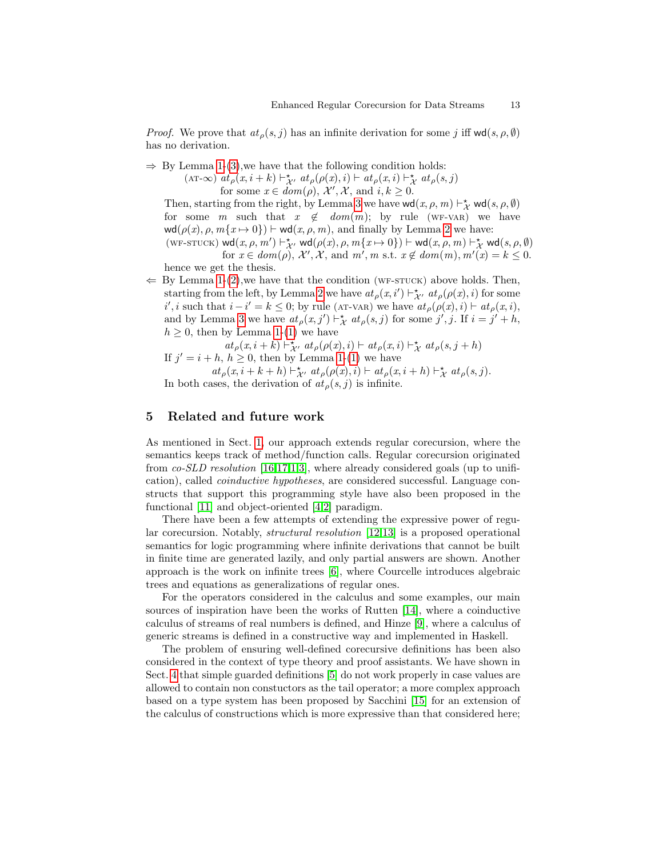*Proof.* We prove that  $at_{\rho}(s, j)$  has an infinite derivation for some j iff  $\text{wd}(s, \rho, \emptyset)$ has no derivation.

 $\Rightarrow$  By Lemma [1-](#page-10-2)[\(3\)](#page-10-3), we have that the following condition holds:

(AT-∞)  $at_{\rho}(x,i+k) \vdash^{\star}_{\mathcal{X}'} at_{\rho}(\rho(x),i) \vdash at_{\rho}(x,i) \vdash^{\star}_{\mathcal{X}} at_{\rho}(s,j)$ for some  $x \in dom(\rho), \mathcal{X}', \mathcal{X}$ , and  $i, k \geq 0$ .

Then, starting from the right, by Lemma [3](#page-11-0) we have  $\text{wd}(x, \rho, m) \vdash^{\star}_{\mathcal{X}} \text{wd}(s, \rho, \emptyset)$ for some m such that  $x \notin dom(m)$ ; by rule (WF-VAR) we have  $\text{wd}(\rho(x), \rho, m\{x \mapsto 0\}) \vdash \text{wd}(x, \rho, m)$ , and finally by Lemma [2](#page-10-1) we have:  $(\text{WF-STUCH}) \; \textsf{wd}(x, \rho, m') \vdash^{\star}_{\mathcal{X}'} \; \textsf{wd}(\rho(x), \rho, m\{x \mapsto 0\}) \vdash \textsf{wd}(x, \rho, m) \vdash^{\star}_{\mathcal{X}} \; \textsf{wd}(s, \rho, \emptyset)$ for  $x \in dom(\rho), \mathcal{X}', \mathcal{X}$ , and  $m', m$  s.t.  $x \notin dom(m), m'(x) = k \leq 0$ . hence we get the thesis.

 $\Leftarrow$  By Lemma [1-](#page-10-2)[\(2\)](#page-10-4), we have that the condition (WF-STUCK) above holds. Then, starting from the left, by Lemma [2](#page-10-1) we have  $at_{\rho}(x, i') \vdash^{\star}_{\mathcal{X}'} at_{\rho}(\rho(x), i)$  for some i', i such that  $i - i' = k \leq 0$ ; by rule (AT-VAR) we have  $at_{\rho}(\rho(x), i) \vdash at_{\rho}(x, i)$ , and by Lemma [3](#page-11-0) we have  $at_{\rho}(x, j') \vdash_{\mathcal{X}}^{\star} at_{\rho}(s, j)$  for some  $j', j$ . If  $i = j' + h$ ,  $h \geq 0$ , then by Lemma [1-](#page-10-2)[\(1\)](#page-10-5) we have

 $\label{eq:1} at_{\rho}(x,i+k) \vdash^{\star}_{\mathcal{X}'} \, at_{\rho}(\rho(x),i) \vdash \, at_{\rho}(x,i) \vdash^{\star}_{\mathcal{X}} \, at_{\rho}(s,j+h)$ If  $j' = i + h, h \geq 0$ , then by Lemma [1-](#page-10-2)[\(1\)](#page-10-5) we have

 $at_{\rho}(x,i+k+h) \vdash^{\star}_{\mathcal{X}'} \mathit{at}_{\rho}(\rho(x),i) \vdash \mathit{at}_{\rho}(x,i+h) \vdash^{\star}_{\mathcal{X}} \mathit{at}_{\rho}(s,j).$ In both cases, the derivation of  $at_{\rho}(s, j)$  is infinite.

# <span id="page-12-0"></span>5 Related and future work

As mentioned in Sect. [1,](#page--1-0) our approach extends regular corecursion, where the semantics keeps track of method/function calls. Regular corecursion originated from co-SLD resolution [\[16,](#page-14-6)[17,](#page-14-1)[1,](#page-13-0)[3\]](#page-13-2), where already considered goals (up to unification), called coinductive hypotheses, are considered successful. Language constructs that support this programming style have also been proposed in the functional [\[11\]](#page-14-0) and object-oriented [\[4,](#page-13-3)[2\]](#page-13-1) paradigm.

There have been a few attempts of extending the expressive power of regular corecursion. Notably, structural resolution [\[12](#page-14-7)[,13\]](#page-14-8) is a proposed operational semantics for logic programming where infinite derivations that cannot be built in finite time are generated lazily, and only partial answers are shown. Another approach is the work on infinite trees [\[6\]](#page-14-3), where Courcelle introduces algebraic trees and equations as generalizations of regular ones.

For the operators considered in the calculus and some examples, our main sources of inspiration have been the works of Rutten [\[14\]](#page-14-9), where a coinductive calculus of streams of real numbers is defined, and Hinze [\[9\]](#page-14-10), where a calculus of generic streams is defined in a constructive way and implemented in Haskell.

The problem of ensuring well-defined corecursive definitions has been also considered in the context of type theory and proof assistants. We have shown in Sect. [4](#page-8-0) that simple guarded definitions [\[5\]](#page-14-4) do not work properly in case values are allowed to contain non constuctors as the tail operator; a more complex approach based on a type system has been proposed by Sacchini [\[15\]](#page-14-11) for an extension of the calculus of constructions which is more expressive than that considered here;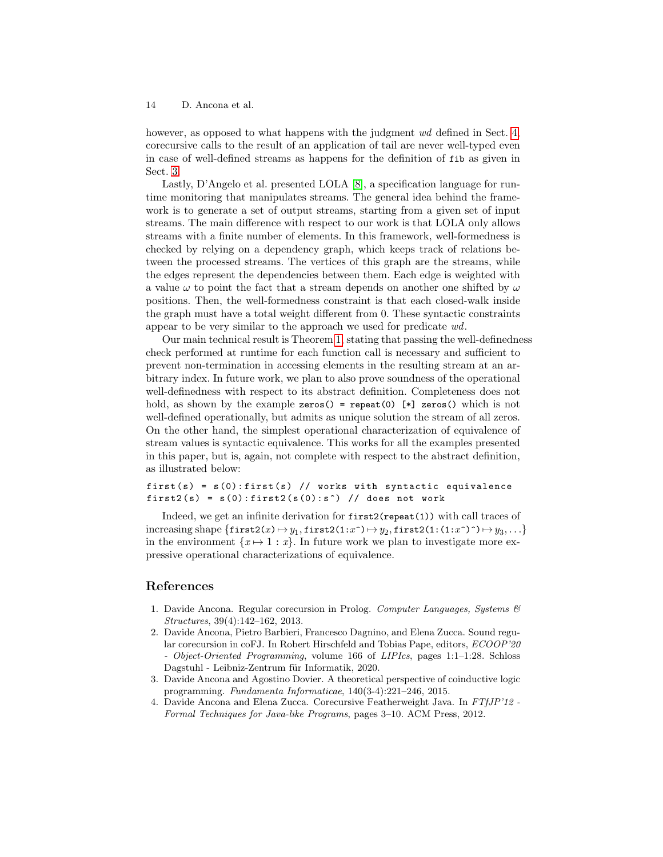however, as opposed to what happens with the judgment wd defined in Sect. [4,](#page-8-0) corecursive calls to the result of an application of tail are never well-typed even in case of well-defined streams as happens for the definition of fib as given in Sect. [3.](#page-6-0)

Lastly, D'Angelo et al. presented LOLA [\[8\]](#page-14-12), a specification language for runtime monitoring that manipulates streams. The general idea behind the framework is to generate a set of output streams, starting from a given set of input streams. The main difference with respect to our work is that LOLA only allows streams with a finite number of elements. In this framework, well-formedness is checked by relying on a dependency graph, which keeps track of relations between the processed streams. The vertices of this graph are the streams, while the edges represent the dependencies between them. Each edge is weighted with a value  $\omega$  to point the fact that a stream depends on another one shifted by  $\omega$ positions. Then, the well-formedness constraint is that each closed-walk inside the graph must have a total weight different from 0. These syntactic constraints appear to be very similar to the approach we used for predicate wd.

Our main technical result is Theorem [1,](#page-11-1) stating that passing the well-definedness check performed at runtime for each function call is necessary and sufficient to prevent non-termination in accessing elements in the resulting stream at an arbitrary index. In future work, we plan to also prove soundness of the operational well-definedness with respect to its abstract definition. Completeness does not hold, as shown by the example zeros() = repeat(0)  $[*]$  zeros() which is not well-defined operationally, but admits as unique solution the stream of all zeros. On the other hand, the simplest operational characterization of equivalence of stream values is syntactic equivalence. This works for all the examples presented in this paper, but is, again, not complete with respect to the abstract definition, as illustrated below:

first  $(s) = s(0)$ : first  $(s)$  // works with syntactic equivalence first2(s) =  $s(0)$ : first2( $s(0)$ : s<sup>2</sup>) // does not work

Indeed, we get an infinite derivation for first2(repeat(1)) with call traces of  $\text{increasing shape } \{ \texttt{first2}(x) \mapsto y_1, \texttt{first2}(1:x^{\texttt{`}}) \mapsto y_2, \texttt{first2}(1\colon (1:x^{\texttt{`}})^{\texttt{`}}) \mapsto y_3, \ldots \}$ in the environment  $\{x \mapsto 1 : x\}$ . In future work we plan to investigate more expressive operational characterizations of equivalence.

# References

- <span id="page-13-0"></span>1. Davide Ancona. Regular corecursion in Prolog. Computer Languages, Systems  $\mathcal{C}$ Structures, 39(4):142–162, 2013.
- <span id="page-13-1"></span>2. Davide Ancona, Pietro Barbieri, Francesco Dagnino, and Elena Zucca. Sound regular corecursion in coFJ. In Robert Hirschfeld and Tobias Pape, editors, ECOOP'20 - Object-Oriented Programming, volume 166 of LIPIcs, pages 1:1–1:28. Schloss Dagstuhl - Leibniz-Zentrum für Informatik, 2020.
- <span id="page-13-2"></span>3. Davide Ancona and Agostino Dovier. A theoretical perspective of coinductive logic programming. Fundamenta Informaticae, 140(3-4):221–246, 2015.
- <span id="page-13-3"></span>4. Davide Ancona and Elena Zucca. Corecursive Featherweight Java. In FTfJP'12 - Formal Techniques for Java-like Programs, pages 3–10. ACM Press, 2012.